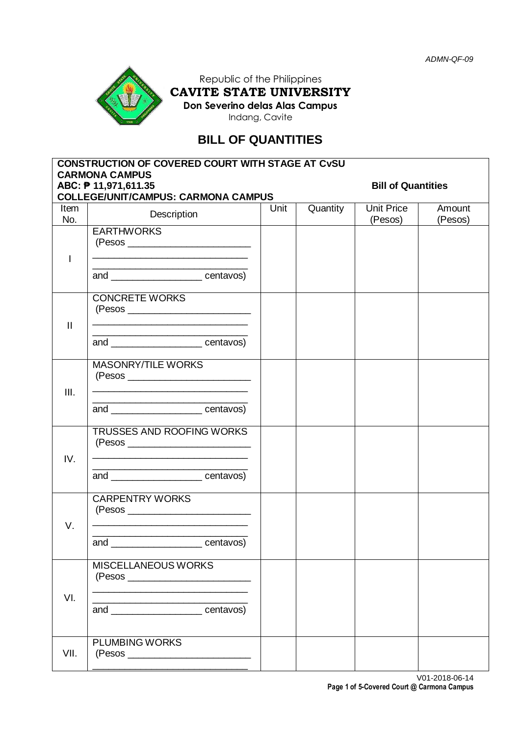

Republic of the Philippines **CAVITE STATE UNIVERSITY Don Severino delas Alas Campus**

Indang, Cavite

# **BILL OF QUANTITIES**

|                | <b>CONSTRUCTION OF COVERED COURT WITH STAGE AT CVSU</b><br><b>CARMONA CAMPUS</b><br>ABC: ₱ 11,971,611.35<br><b>COLLEGE/UNIT/CAMPUS: CARMONA CAMPUS</b>                                                                                      | <b>Bill of Quantities</b> |          |                              |                   |
|----------------|---------------------------------------------------------------------------------------------------------------------------------------------------------------------------------------------------------------------------------------------|---------------------------|----------|------------------------------|-------------------|
| Item<br>No.    | Description                                                                                                                                                                                                                                 | Unit                      | Quantity | <b>Unit Price</b><br>(Pesos) | Amount<br>(Pesos) |
| $\overline{1}$ | <b>EARTHWORKS</b><br>and ________________________ centavos)                                                                                                                                                                                 |                           |          |                              |                   |
| $\mathbf{H}$   | <b>CONCRETE WORKS</b><br><u> 1989 - Johann John Stein, fransk politik (d. 1989)</u><br>and ________________________centavos)                                                                                                                |                           |          |                              |                   |
| III.           | <b>MASONRY/TILE WORKS</b><br><u> 1989 - Johann Stoff, deutscher Stoffen und der Stoffen und der Stoffen und der Stoffen und der Stoffen und der </u><br>and _________________________centavos)                                              |                           |          |                              |                   |
| IV.            | TRUSSES AND ROOFING WORKS<br>the control of the control of the control of the control of the control of<br>and _______________________centavos)                                                                                             |                           |          |                              |                   |
| V.             | <b>CARPENTRY WORKS</b><br><u> 1989 - Johann Stoff, deutscher Stoff, der Stoff, der Stoff, der Stoff, der Stoff, der Stoff, der Stoff, der S</u><br><u> 1989 - Johann Barnett, fransk politik (</u><br>and ________________________centavos) |                           |          |                              |                   |
| VI.            | MISCELLANEOUS WORKS<br>and __________________________centavos)                                                                                                                                                                              |                           |          |                              |                   |
| VII.           | <b>PLUMBING WORKS</b>                                                                                                                                                                                                                       |                           |          |                              |                   |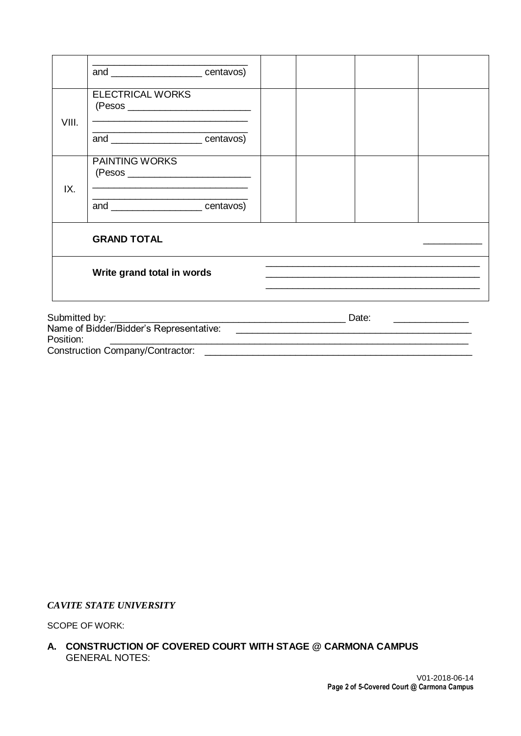|           | and ______________________centavos)                                                                     |  |  |       |  |  |  |
|-----------|---------------------------------------------------------------------------------------------------------|--|--|-------|--|--|--|
|           | <b>ELECTRICAL WORKS</b>                                                                                 |  |  |       |  |  |  |
| VIII.     | <u> 1989 - Jan Samuel Barbara, martxa al II-lea (h. 1982).</u><br>and ________________________centavos) |  |  |       |  |  |  |
|           | <b>PAINTING WORKS</b><br><u> 1989 - Johann Stoff, amerikansk politiker (d. 1989)</u>                    |  |  |       |  |  |  |
| IX.       | <u> 1989 - Johann John Stone, mensk politik (d. 1989)</u><br>and centavos)                              |  |  |       |  |  |  |
|           | <b>GRAND TOTAL</b>                                                                                      |  |  |       |  |  |  |
|           | Write grand total in words                                                                              |  |  |       |  |  |  |
|           |                                                                                                         |  |  | Date: |  |  |  |
| Position: |                                                                                                         |  |  |       |  |  |  |
|           | <b>Construction Company/Contractor:</b>                                                                 |  |  |       |  |  |  |

#### *CAVITE STATE UNIVERSITY*

SCOPE OF WORK:

**A. CONSTRUCTION OF COVERED COURT WITH STAGE @ CARMONA CAMPUS** GENERAL NOTES: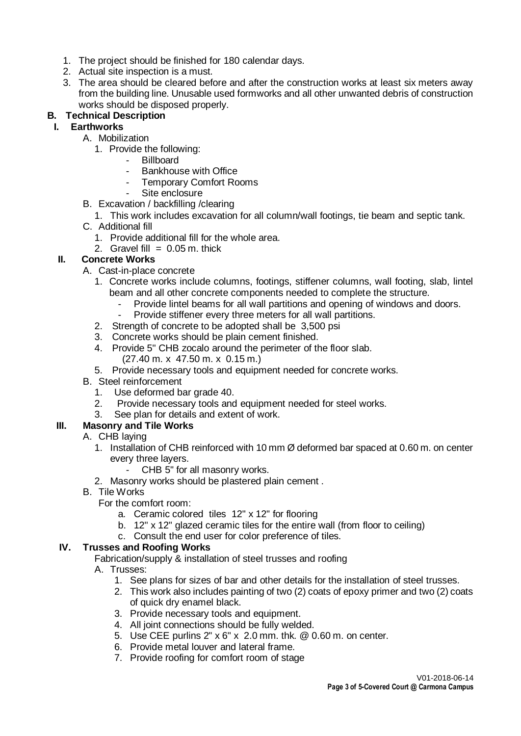- 1. The project should be finished for 180 calendar days.
- 2. Actual site inspection is a must.
- 3. The area should be cleared before and after the construction works at least six meters away from the building line. Unusable used formworks and all other unwanted debris of construction works should be disposed properly.

### **B. Technical Description**

### **I. Earthworks**

- A. Mobilization
	- 1. Provide the following:
		- Billboard
		- Bankhouse with Office
		- Temporary Comfort Rooms
		- Site enclosure
- B. Excavation / backfilling /clearing
	- 1. This work includes excavation for all column/wall footings, tie beam and septic tank.
- C. Additional fill
	- 1. Provide additional fill for the whole area.
	- 2. Gravel fill  $= 0.05$  m, thick

# **II. Concrete Works**

- A. Cast-in-place concrete
	- 1. Concrete works include columns, footings, stiffener columns, wall footing, slab, lintel beam and all other concrete components needed to complete the structure.
		- Provide lintel beams for all wall partitions and opening of windows and doors.
		- Provide stiffener every three meters for all wall partitions.
	- 2. Strength of concrete to be adopted shall be 3,500 psi
	- 3. Concrete works should be plain cement finished.
	- 4. Provide 5" CHB zocalo around the perimeter of the floor slab. (27.40 m. x 47.50 m. x 0.15 m.)
	- 5. Provide necessary tools and equipment needed for concrete works.
- B. Steel reinforcement
	- 1. Use deformed bar grade 40.
	- 2. Provide necessary tools and equipment needed for steel works.
	- 3. See plan for details and extent of work.

# **III. Masonry and Tile Works**

- A. CHB laying
	- 1. Installation of CHB reinforced with 10 mm Ø deformed bar spaced at 0.60 m. on center every three layers.
		- CHB 5" for all masonry works.
	- 2. Masonry works should be plastered plain cement .
- B. Tile Works
	- For the comfort room:
		- a. Ceramic colored tiles 12" x 12" for flooring
		- b. 12" x 12" glazed ceramic tiles for the entire wall (from floor to ceiling)
		- c. Consult the end user for color preference of tiles.

### **IV. Trusses and Roofing Works**

Fabrication/supply & installation of steel trusses and roofing

- A. Trusses:
	- 1. See plans for sizes of bar and other details for the installation of steel trusses.
	- 2. This work also includes painting of two (2) coats of epoxy primer and two (2) coats of quick dry enamel black.
	- 3. Provide necessary tools and equipment.
	- 4. All joint connections should be fully welded.
	- 5. Use CEE purlins 2" x 6" x 2.0 mm. thk. @ 0.60 m. on center.
	- 6. Provide metal louver and lateral frame.
	- 7. Provide roofing for comfort room of stage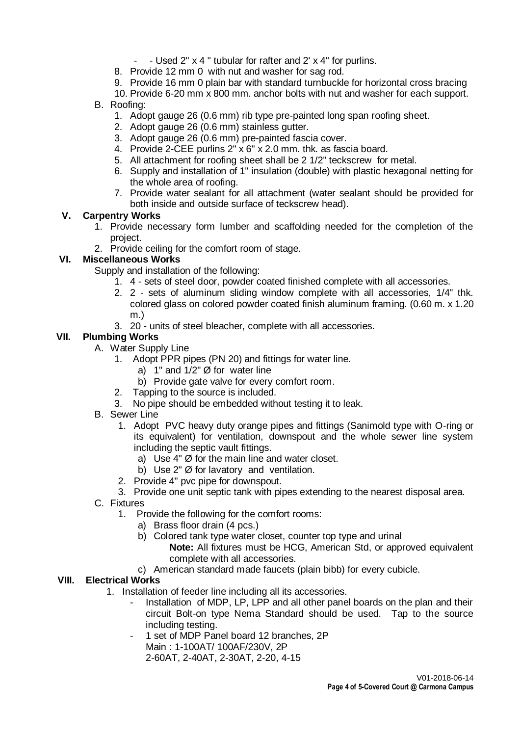- Used 2" x 4" tubular for rafter and 2' x 4" for purlins.
- 8. Provide 12 mm 0 with nut and washer for sag rod.
- 9. Provide 16 mm 0 plain bar with standard turnbuckle for horizontal cross bracing
- 10. Provide 6-20 mm x 800 mm. anchor bolts with nut and washer for each support.
- B. Roofing:
	- 1. Adopt gauge 26 (0.6 mm) rib type pre-painted long span roofing sheet.
	- 2. Adopt gauge 26 (0.6 mm) stainless gutter.
	- 3. Adopt gauge 26 (0.6 mm) pre-painted fascia cover.
	- 4. Provide 2-CEE purlins 2" x 6" x 2.0 mm. thk. as fascia board.
	- 5. All attachment for roofing sheet shall be 2 1/2" teckscrew for metal.
	- 6. Supply and installation of 1" insulation (double) with plastic hexagonal netting for the whole area of roofing.
	- 7. Provide water sealant for all attachment (water sealant should be provided for both inside and outside surface of teckscrew head).

#### **V. Carpentry Works**

- 1. Provide necessary form lumber and scaffolding needed for the completion of the project.
- 2. Provide ceiling for the comfort room of stage.

### **VI. Miscellaneous Works**

Supply and installation of the following:

- 1. 4 sets of steel door, powder coated finished complete with all accessories.
- 2. 2 sets of aluminum sliding window complete with all accessories, 1/4" thk. colored glass on colored powder coated finish aluminum framing. (0.60 m. x 1.20 m.)
- 3. 20 units of steel bleacher, complete with all accessories.

### **VII. Plumbing Works**

- A. Water Supply Line
	- 1. Adopt PPR pipes (PN 20) and fittings for water line.
		- a) 1" and  $1/2$ "  $\varnothing$  for water line
		- b) Provide gate valve for every comfort room.
	- 2. Tapping to the source is included.
	- 3. No pipe should be embedded without testing it to leak.
- B. Sewer Line
	- 1. Adopt PVC heavy duty orange pipes and fittings (Sanimold type with O-ring or its equivalent) for ventilation, downspout and the whole sewer line system including the septic vault fittings.
		- a) Use 4" Ø for the main line and water closet.
		- b) Use 2" Ø for lavatory and ventilation.
	- 2. Provide 4" pvc pipe for downspout.
	- 3. Provide one unit septic tank with pipes extending to the nearest disposal area.
- C. Fixtures
	- 1. Provide the following for the comfort rooms:
		- a) Brass floor drain (4 pcs.)
		- b) Colored tank type water closet, counter top type and urinal **Note:** All fixtures must be HCG, American Std, or approved equivalent complete with all accessories.
		- c) American standard made faucets (plain bibb) for every cubicle.

### **VIII. Electrical Works**

- 1. Installation of feeder line including all its accessories.
	- Installation of MDP, LP, LPP and all other panel boards on the plan and their circuit Bolt-on type Nema Standard should be used. Tap to the source including testing.
	- 1 set of MDP Panel board 12 branches, 2P

Main : 1-100AT/ 100AF/230V, 2P

2-60AT, 2-40AT, 2-30AT, 2-20, 4-15